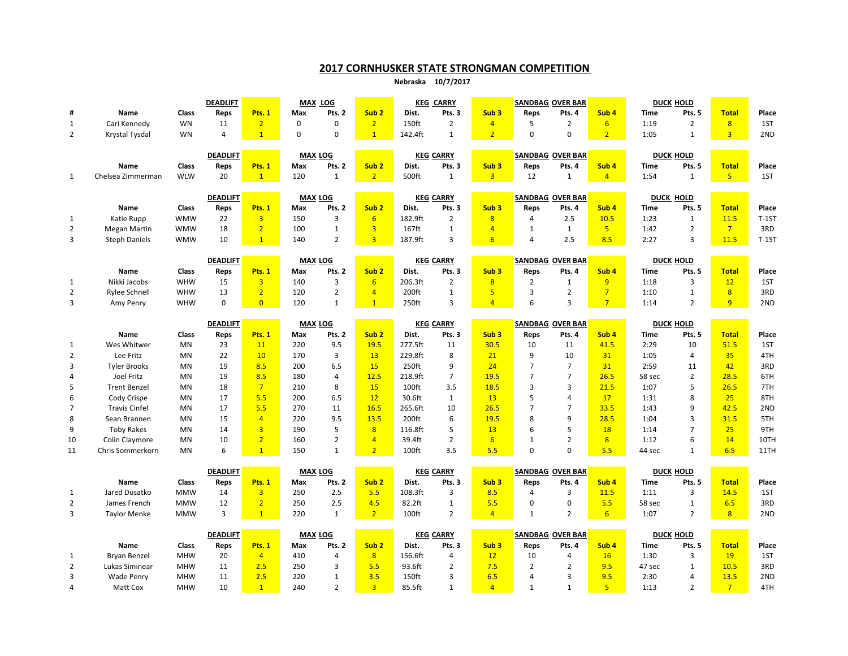## 2017 CORNHUSKER STATE STRONGMAN COMPETITION

Nebraska 10/7/2017

|                                |                      |                                   | <b>DEADLIFT</b> |                | MAX LOG                              |                |                  | <b>KEG CARRY</b>  |                            |                          |                         | <b>SANDBAG OVER BAR</b>           |                          | <b>DUCK HOLD</b>    |                            |                      |              |
|--------------------------------|----------------------|-----------------------------------|-----------------|----------------|--------------------------------------|----------------|------------------|-------------------|----------------------------|--------------------------|-------------------------|-----------------------------------|--------------------------|---------------------|----------------------------|----------------------|--------------|
| #                              | <b>Name</b>          | Class                             | Reps            | Pts. 1         | Max                                  | Pts. 2         | Sub <sub>2</sub> | Dist.             | Pts. 3                     | Sub <sub>3</sub>         | Reps                    | Pts. 4                            | Sub <sub>4</sub>         | <b>Time</b>         | Pts. 5                     | <b>Total</b>         | Place        |
| $\mathbf{1}$                   | Cari Kennedy         | <b>WN</b>                         | 11              | $\overline{2}$ | 0                                    | 0              | $\overline{2}$   | 150ft             | $\overline{2}$             | $\overline{4}$           | 5                       | $\overline{2}$                    | $6 \overline{6}$         | 1:19                | $\overline{2}$             | 8                    | 1ST          |
| 2                              | Krystal Tysdal       | <b>WN</b>                         | 4               | $\mathbf{1}$   | $\mathbf 0$                          | $\mathbf 0$    | $\overline{1}$   | 142.4ft           | $\mathbf{1}$               | $\overline{2}$           | $\mathbf 0$             | $\mathbf 0$                       | 2 <sup>2</sup>           | 1:05                | $\mathbf{1}$               | 3 <sup>1</sup>       | 2ND          |
|                                |                      |                                   |                 |                |                                      |                |                  |                   |                            |                          |                         |                                   |                          |                     |                            |                      |              |
|                                |                      |                                   | <b>DEADLIFT</b> |                | <b>MAX LOG</b>                       |                |                  |                   | <b>KEG CARRY</b>           |                          |                         | <b>SANDBAG OVER BAR</b>           |                          |                     | <b>DUCK HOLD</b>           |                      |              |
|                                | Name                 | Class                             | Reps            | Pts. 1         | Max                                  | Pts. 2         | Sub <sub>2</sub> | Dist.             | Pts. 3                     | Sub <sub>3</sub>         | Reps                    | Pts. 4                            | Sub <sub>4</sub>         | <b>Time</b>         | Pts. 5                     | <b>Total</b>         | Place        |
| 1                              | Chelsea Zimmerman    | <b>WLW</b>                        | 20              | $\mathbf{1}$   | 120                                  | $\overline{1}$ | $\overline{2}$   | 500ft             | $\mathbf{1}$               | $\overline{3}$           | 12                      | 1                                 | $\overline{4}$           | 1:54                | $\mathbf{1}$               | 5 <sup>1</sup>       | 1ST          |
|                                |                      |                                   | <b>DEADLIFT</b> |                | <b>MAX LOG</b>                       |                |                  |                   | <b>KEG CARRY</b>           |                          |                         | <b>SANDBAG OVER BAR</b>           |                          |                     | DUCK HOLD                  |                      |              |
|                                | Name                 | Class                             | Reps            | Pts. 1         | Max                                  | Pts. 2         | Sub <sub>2</sub> | Dist.             | Pts. 3                     | Sub <sub>3</sub>         | Reps                    | Pts. 4                            | Sub <sub>4</sub>         | <b>Time</b>         | Pts. 5                     | <b>Total</b>         | Place        |
| 1                              | Katie Rupp           | <b>WMW</b>                        | 22              | $\overline{3}$ | 150                                  | 3              | $6\overline{6}$  | 182.9ft           | 2                          | 8                        | 4                       | 2.5                               | 10.5                     | 1:23                | $\mathbf{1}$               | 11.5                 | $T-1ST$      |
| $\overline{2}$                 | <b>Megan Martin</b>  | <b>WMW</b>                        | 18              | $\overline{2}$ | 100                                  | $\mathbf{1}$   | $\overline{3}$   | 167ft             | $\mathbf{1}$               | $\overline{4}$           | 1                       | $\mathbf{1}$                      | 5 <sup>1</sup>           | 1:42                | $\overline{2}$             | $7^{\circ}$          | 3RD          |
| 3                              | <b>Steph Daniels</b> | <b>WMW</b>                        | 10              | $\mathbf{1}$   | 140                                  | $\overline{2}$ | $\overline{3}$   | 187.9ft           | 3                          | 6                        | 4                       | 2.5                               | 8.5                      | 2:27                | 3                          | 11.5                 | $T-1ST$      |
|                                |                      |                                   |                 |                |                                      |                |                  |                   |                            |                          |                         |                                   |                          |                     |                            |                      |              |
|                                |                      | <b>DEADLIFT</b>                   |                 |                | <b>MAX LOG</b>                       |                |                  | <b>KEG CARRY</b>  |                            | <b>SANDBAG OVER BAR</b>  |                         |                                   |                          |                     | <b>DUCK HOLD</b>           |                      |              |
|                                | Name                 | <b>Class</b>                      | Reps            | Pts. 1         | Max                                  | Pts. 2         | Sub <sub>2</sub> | Dist.             | Pts. 3                     | Sub <sub>3</sub>         | Reps                    | Pts. 4                            | Sub <sub>4</sub>         | <b>Time</b>         | Pts. 5                     | <b>Total</b>         | Place        |
| $\mathbf{1}$                   | Nikki Jacobs         | <b>WHW</b>                        | 15              | $\overline{3}$ | 140                                  | 3              | $6\overline{6}$  | 206.3ft           | $\overline{2}$             | 8                        | 2                       | $\mathbf{1}$                      | 9                        | 1:18                | 3                          | 12                   | 1ST          |
| 2                              | <b>Rylee Schnell</b> | WHW                               | 13              | $\overline{2}$ | 120                                  | $\overline{2}$ | $\overline{4}$   | 200ft             | $\mathbf{1}$               | 5                        | 3                       | $\overline{2}$                    | 7                        | 1:10                | $\mathbf{1}$               | 8                    | 3RD          |
| 3                              | Amy Penry            | WHW                               | $\mathbf 0$     | $\overline{0}$ | 120                                  | $\mathbf{1}$   | $\mathbf{1}$     | 250ft             | 3                          | $\overline{4}$           | 6                       | 3                                 | 7 <sup>7</sup>           | 1:14                | $\overline{2}$             | 9 <sup>°</sup>       | 2ND          |
|                                |                      |                                   |                 |                |                                      |                |                  |                   |                            |                          |                         |                                   |                          |                     |                            |                      |              |
|                                |                      | <b>DEADLIFT</b><br><b>MAX LOG</b> |                 |                | <b>KEG CARRY</b><br>Sub <sub>2</sub> |                |                  |                   |                            | <b>SANDBAG OVER BAR</b>  |                         | <b>DUCK HOLD</b>                  |                          |                     |                            |                      |              |
|                                | Name<br>Wes Whitwer  | <b>Class</b><br><b>MN</b>         | Reps<br>23      | Pts. 1<br>11   | Max<br>220                           | Pts. 2<br>9.5  | 19.5             | Dist.<br>277.5ft  | Pts. 3<br>11               | Sub <sub>3</sub><br>30.5 | Reps<br>10              | Pts. 4<br>11                      | Sub <sub>4</sub><br>41.5 | <b>Time</b><br>2:29 | Pts. 5<br>10               | <b>Total</b><br>51.5 | Place<br>1ST |
| $\mathbf{1}$<br>$\overline{2}$ | Lee Fritz            | <b>MN</b>                         | 22              | 10             | 170                                  | 3              | 13               | 229.8ft           | 8                          | 21                       | 9                       | 10                                | 31                       | 1:05                | $\overline{4}$             | 35                   | 4TH          |
| 3                              | <b>Tyler Brooks</b>  | <b>MN</b>                         | 19              | 8.5            | 200                                  | 6.5            | 15               | 250ft             | 9                          | 24                       | $\overline{7}$          | $\overline{7}$                    | 31                       | 2:59                | 11                         | 42                   | 3RD          |
| 4                              | Joel Fritz           | <b>MN</b>                         | 19              | 8.5            | 180                                  | 4              | 12.5             | 218.9ft           | $\overline{7}$             | 19.5                     | $\overline{7}$          | $\overline{7}$                    | 26.5                     | 58 sec              | $\overline{2}$             | 28.5                 | 6TH          |
| 5                              | <b>Trent Benzel</b>  | <b>MN</b>                         | 18              | $\overline{7}$ | 210                                  | 8              | 15               | 100 <sub>ft</sub> | 3.5                        | 18.5                     | 3                       | 3                                 | 21.5                     | 1:07                | 5                          | 26.5                 | 7TH          |
| 6                              | Cody Crispe          | <b>MN</b>                         | 17              | 5.5            | 200                                  | 6.5            | 12               | 30.6ft            | $\mathbf{1}$               | 13                       | 5                       | 4                                 | 17                       | 1:31                | 8                          | 25                   | 8TH          |
| $\overline{7}$                 | <b>Travis Cinfel</b> | <b>MN</b>                         | 17              | 5.5            | 270                                  | 11             | 16.5             | 265.6ft           | 10                         | 26.5                     | $\overline{7}$          | $\overline{7}$                    | 33.5                     | 1:43                | 9                          | 42.5                 | 2ND          |
| 8                              | Sean Brannen         | <b>MN</b>                         | 15              | $\overline{4}$ | 220                                  | 9.5            | 13.5             | 200ft             | 6                          | 19.5                     | 8                       | 9                                 | 28.5                     | 1:04                | $\overline{3}$             | 31.5                 | 5TH          |
| 9                              | <b>Toby Rakes</b>    | <b>MN</b>                         | 14              | $\overline{3}$ | 190                                  | 5              | 8                | 116.8ft           | 5                          | 13                       | 6                       | 5                                 | 18                       | 1:14                | $\overline{7}$             | 25                   | 9TH          |
| 10                             | Colin Claymore       | <b>MN</b>                         | 10              | $\overline{2}$ | 160                                  | $\overline{2}$ | $\overline{4}$   | 39.4ft            | $\overline{2}$             | 6 <sup>2</sup>           | $\mathbf{1}$            | $\overline{2}$                    | 8                        | 1:12                | 6                          | 14                   | 10TH         |
| 11                             | Chris Sommerkorn     | <b>MN</b>                         | 6               | $\mathbf{1}$   | 150                                  | $\mathbf{1}$   | 2 <sup>2</sup>   | 100 <sub>ft</sub> | 3.5                        | 5.5                      | $\Omega$                | $\Omega$                          | 5.5                      | 44 sec              | $\mathbf{1}$               | 6.5                  | 11TH         |
|                                |                      |                                   |                 |                |                                      |                |                  |                   |                            |                          |                         |                                   |                          |                     |                            |                      |              |
|                                |                      |                                   | <b>DEADLIFT</b> |                | <b>MAX LOG</b>                       |                |                  | <b>KEG CARRY</b>  |                            |                          | <b>SANDBAG OVER BAR</b> |                                   |                          |                     | <b>DUCK HOLD</b>           |                      |              |
|                                | Name                 | Class                             | Reps            | Pts. 1         | Max                                  | Pts. 2         | Sub <sub>2</sub> | Dist.             | Pts. 3                     | Sub <sub>3</sub>         | Reps                    | Pts. 4                            | Sub <sub>4</sub>         | Time                | Pts. 5                     | <b>Total</b>         | Place        |
| 1                              | Jared Dusatko        | <b>MMW</b>                        | 14              | $\overline{3}$ | 250                                  | 2.5            | 5.5              | 108.3ft           | 3                          | 8.5                      | 4                       | 3                                 | 11.5                     | 1:11                | $\overline{3}$             | 14.5                 | 1ST          |
| $\overline{2}$                 | James French         | <b>MMW</b>                        | 12              | $\overline{2}$ | 250                                  | 2.5            | 4.5              | 82.2ft            | $\mathbf{1}$               | 5.5                      | $\mathbf 0$             | $\mathbf 0$                       | 5.5                      | 58 sec              | $\mathbf{1}$               | 6.5                  | 3RD          |
| 3                              | <b>Taylor Menke</b>  | <b>MMW</b>                        | $\overline{3}$  | $\mathbf{1}$   | 220                                  | $\mathbf{1}$   | 2 <sup>1</sup>   | 100ft             | $\overline{2}$             | $\overline{4}$           | $\mathbf{1}$            | $\overline{2}$                    | $6 \overline{6}$         | 1:07                | $\overline{2}$             | 8 <sup>2</sup>       | 2ND          |
|                                |                      |                                   | <b>DEADLIFT</b> |                |                                      |                |                  |                   |                            |                          |                         |                                   |                          |                     |                            |                      |              |
|                                | <b>Name</b>          | <b>Class</b><br>Pts. 1<br>Reps    |                 |                | <b>MAX LOG</b><br>Max                | Pts. 2         | Sub <sub>2</sub> | Dist.             | <b>KEG CARRY</b><br>Pts. 3 | Sub <sub>3</sub>         | Reps                    | <b>SANDBAG OVER BAR</b><br>Pts. 4 | Sub <sub>4</sub>         | <b>Time</b>         | <b>DUCK HOLD</b><br>Pts. 5 | <b>Total</b>         | Place        |

|                     |            | <b>DEADLIFT</b> |             | <b>MAX LOG</b> |                |                  | <b>KEG CARRY</b> |        |                  |      | <b>SANDBAG OVER BAR</b> |                  | <b>DUCK HOLD</b> |        |       |       |  |
|---------------------|------------|-----------------|-------------|----------------|----------------|------------------|------------------|--------|------------------|------|-------------------------|------------------|------------------|--------|-------|-------|--|
| Name                | Class      | Reps            | <b>Pts.</b> | Max            | Pts. $\lambda$ | Sub <sub>2</sub> | Dist.            | Pts. 3 | Sub <sub>3</sub> | Reps | Pts. 4                  | Sub <sub>4</sub> | Time             | Pts. 5 | Tota. | Place |  |
| <b>Bryan Benzel</b> | <b>MHW</b> | 20              |             | 410            |                |                  | 156.6ft          |        |                  | 10   |                         |                  | 1:30             |        | 19    | 1ST   |  |
| Lukas Siminear      | <b>MHW</b> |                 |             | 250            |                |                  | 93.6ft           |        |                  |      |                         |                  | 47 sec           |        | 10.5  | 3RD   |  |
| Wade Penry          | <b>MHW</b> |                 |             | 220            |                |                  | 150ft            |        |                  |      |                         |                  | 2:30             |        | 13.5  | 2ND   |  |
| Matt Cox            | <b>MHW</b> | 10              |             | 240            |                |                  | 85.5ft           |        |                  |      |                         |                  | 1:13             |        |       | 4TH   |  |
|                     |            |                 |             |                |                |                  |                  |        |                  |      |                         |                  |                  |        |       |       |  |